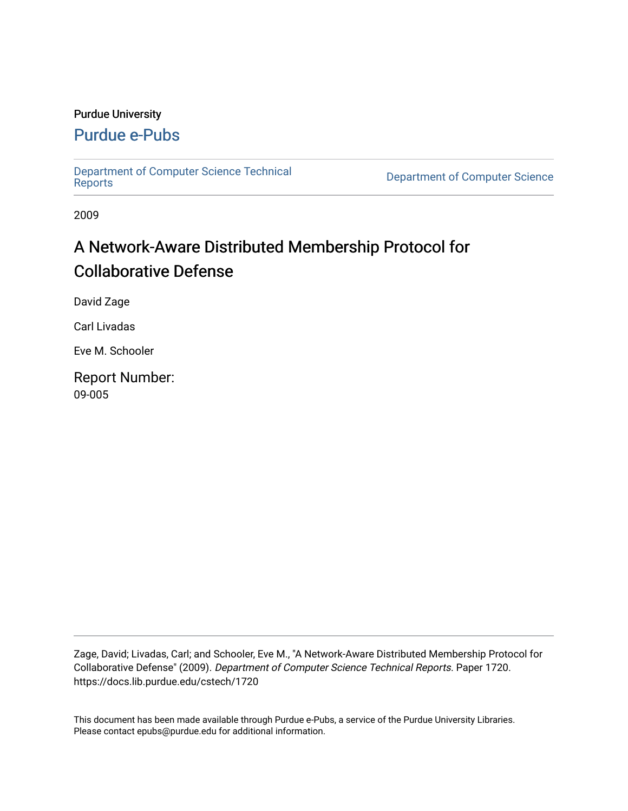#### Purdue University

### [Purdue e-Pubs](https://docs.lib.purdue.edu/)

[Department of Computer Science Technical](https://docs.lib.purdue.edu/cstech) 

**Department of Computer Science** 

2009

### A Network-Aware Distributed Membership Protocol for Collaborative Defense

David Zage

Carl Livadas

Eve M. Schooler

Report Number: 09-005

Zage, David; Livadas, Carl; and Schooler, Eve M., "A Network-Aware Distributed Membership Protocol for Collaborative Defense" (2009). Department of Computer Science Technical Reports. Paper 1720. https://docs.lib.purdue.edu/cstech/1720

This document has been made available through Purdue e-Pubs, a service of the Purdue University Libraries. Please contact epubs@purdue.edu for additional information.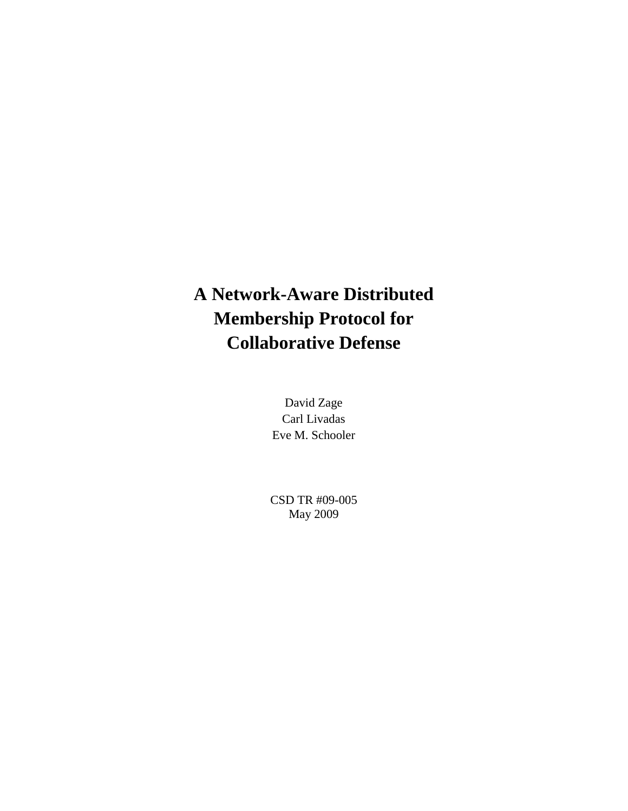## **A Network-Aware Distributed Membership Protocol for Collaborative Defense**

David Zage Carl Livadas Eve M. Schooler

CSD TR #09-005 May 2009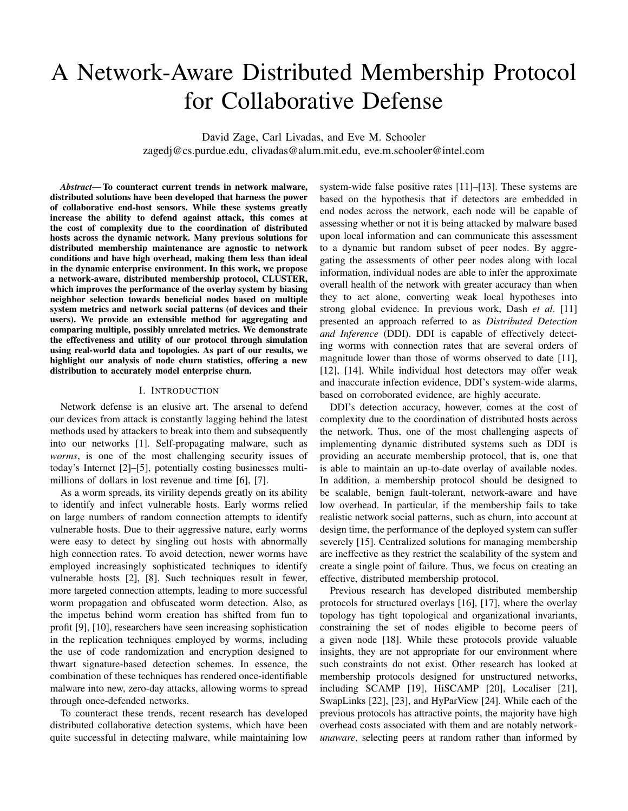# A Network-Aware Distributed Membership Protocol for Collaborative Defense

David Zage, Carl Livadas, and Eve M. Schooler zagedj@cs.purdue.edu, clivadas@alum.mit.edu, eve.m.schooler@intel.com

*Abstract*— To counteract current trends in network malware, distributed solutions have been developed that harness the power of collaborative end-host sensors. While these systems greatly increase the ability to defend against attack, this comes at the cost of complexity due to the coordination of distributed hosts across the dynamic network. Many previous solutions for distributed membership maintenance are agnostic to network conditions and have high overhead, making them less than ideal in the dynamic enterprise environment. In this work, we propose a network-aware, distributed membership protocol, CLUSTER, which improves the performance of the overlay system by biasing neighbor selection towards beneficial nodes based on multiple system metrics and network social patterns (of devices and their users). We provide an extensible method for aggregating and comparing multiple, possibly unrelated metrics. We demonstrate the effectiveness and utility of our protocol through simulation using real-world data and topologies. As part of our results, we highlight our analysis of node churn statistics, offering a new distribution to accurately model enterprise churn.

#### I. INTRODUCTION

Network defense is an elusive art. The arsenal to defend our devices from attack is constantly lagging behind the latest methods used by attackers to break into them and subsequently into our networks [1]. Self-propagating malware, such as *worms*, is one of the most challenging security issues of today's Internet [2]–[5], potentially costing businesses multimillions of dollars in lost revenue and time [6], [7].

As a worm spreads, its virility depends greatly on its ability to identify and infect vulnerable hosts. Early worms relied on large numbers of random connection attempts to identify vulnerable hosts. Due to their aggressive nature, early worms were easy to detect by singling out hosts with abnormally high connection rates. To avoid detection, newer worms have employed increasingly sophisticated techniques to identify vulnerable hosts [2], [8]. Such techniques result in fewer, more targeted connection attempts, leading to more successful worm propagation and obfuscated worm detection. Also, as the impetus behind worm creation has shifted from fun to profit [9], [10], researchers have seen increasing sophistication in the replication techniques employed by worms, including the use of code randomization and encryption designed to thwart signature-based detection schemes. In essence, the combination of these techniques has rendered once-identifiable malware into new, zero-day attacks, allowing worms to spread through once-defended networks.

To counteract these trends, recent research has developed distributed collaborative detection systems, which have been quite successful in detecting malware, while maintaining low

system-wide false positive rates [11]–[13]. These systems are based on the hypothesis that if detectors are embedded in end nodes across the network, each node will be capable of assessing whether or not it is being attacked by malware based upon local information and can communicate this assessment to a dynamic but random subset of peer nodes. By aggregating the assessments of other peer nodes along with local information, individual nodes are able to infer the approximate overall health of the network with greater accuracy than when they to act alone, converting weak local hypotheses into strong global evidence. In previous work, Dash *et al*. [11] presented an approach referred to as *Distributed Detection and Inference* (DDI). DDI is capable of effectively detecting worms with connection rates that are several orders of magnitude lower than those of worms observed to date [11], [12], [14]. While individual host detectors may offer weak and inaccurate infection evidence, DDI's system-wide alarms, based on corroborated evidence, are highly accurate.

DDI's detection accuracy, however, comes at the cost of complexity due to the coordination of distributed hosts across the network. Thus, one of the most challenging aspects of implementing dynamic distributed systems such as DDI is providing an accurate membership protocol, that is, one that is able to maintain an up-to-date overlay of available nodes. In addition, a membership protocol should be designed to be scalable, benign fault-tolerant, network-aware and have low overhead. In particular, if the membership fails to take realistic network social patterns, such as churn, into account at design time, the performance of the deployed system can suffer severely [15]. Centralized solutions for managing membership are ineffective as they restrict the scalability of the system and create a single point of failure. Thus, we focus on creating an effective, distributed membership protocol.

Previous research has developed distributed membership protocols for structured overlays [16], [17], where the overlay topology has tight topological and organizational invariants, constraining the set of nodes eligible to become peers of a given node [18]. While these protocols provide valuable insights, they are not appropriate for our environment where such constraints do not exist. Other research has looked at membership protocols designed for unstructured networks, including SCAMP [19], HiSCAMP [20], Localiser [21], SwapLinks [22], [23], and HyParView [24]. While each of the previous protocols has attractive points, the majority have high overhead costs associated with them and are notably network*unaware*, selecting peers at random rather than informed by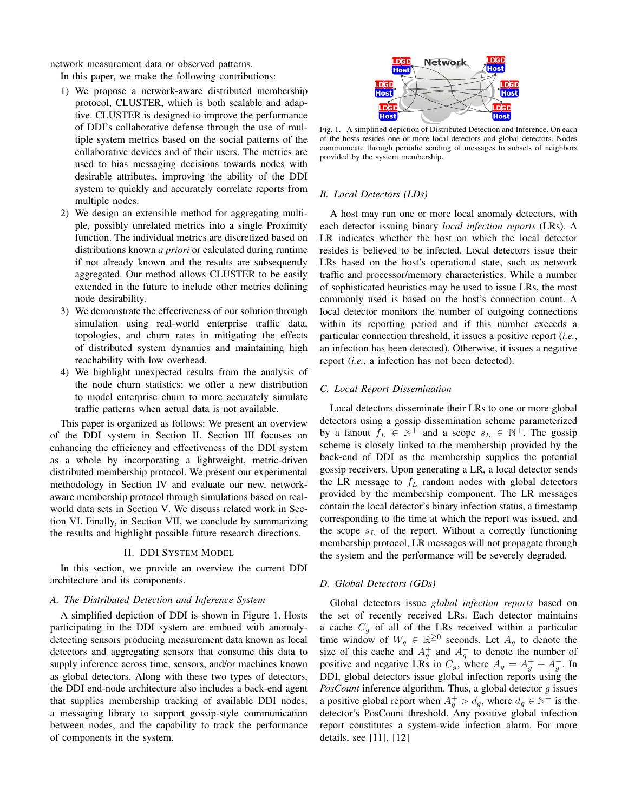network measurement data or observed patterns.

In this paper, we make the following contributions:

- 1) We propose a network-aware distributed membership protocol, CLUSTER, which is both scalable and adaptive. CLUSTER is designed to improve the performance of DDI's collaborative defense through the use of multiple system metrics based on the social patterns of the collaborative devices and of their users. The metrics are used to bias messaging decisions towards nodes with desirable attributes, improving the ability of the DDI system to quickly and accurately correlate reports from multiple nodes.
- 2) We design an extensible method for aggregating multiple, possibly unrelated metrics into a single Proximity function. The individual metrics are discretized based on distributions known *a priori* or calculated during runtime if not already known and the results are subsequently aggregated. Our method allows CLUSTER to be easily extended in the future to include other metrics defining node desirability.
- 3) We demonstrate the effectiveness of our solution through simulation using real-world enterprise traffic data, topologies, and churn rates in mitigating the effects of distributed system dynamics and maintaining high reachability with low overhead.
- 4) We highlight unexpected results from the analysis of the node churn statistics; we offer a new distribution to model enterprise churn to more accurately simulate traffic patterns when actual data is not available.

This paper is organized as follows: We present an overview of the DDI system in Section II. Section III focuses on enhancing the efficiency and effectiveness of the DDI system as a whole by incorporating a lightweight, metric-driven distributed membership protocol. We present our experimental methodology in Section IV and evaluate our new, networkaware membership protocol through simulations based on realworld data sets in Section V. We discuss related work in Section VI. Finally, in Section VII, we conclude by summarizing the results and highlight possible future research directions.

#### II. DDI SYSTEM MODEL

In this section, we provide an overview the current DDI architecture and its components.

#### *A. The Distributed Detection and Inference System*

A simplified depiction of DDI is shown in Figure 1. Hosts participating in the DDI system are embued with anomalydetecting sensors producing measurement data known as local detectors and aggregating sensors that consume this data to supply inference across time, sensors, and/or machines known as global detectors. Along with these two types of detectors, the DDI end-node architecture also includes a back-end agent that supplies membership tracking of available DDI nodes, a messaging library to support gossip-style communication between nodes, and the capability to track the performance of components in the system.



Fig. 1. A simplified depiction of Distributed Detection and Inference. On each of the hosts resides one or more local detectors and global detectors. Nodes communicate through periodic sending of messages to subsets of neighbors provided by the system membership.

#### *B. Local Detectors (LDs)*

A host may run one or more local anomaly detectors, with each detector issuing binary *local infection reports* (LRs). A LR indicates whether the host on which the local detector resides is believed to be infected. Local detectors issue their LRs based on the host's operational state, such as network traffic and processor/memory characteristics. While a number of sophisticated heuristics may be used to issue LRs, the most commonly used is based on the host's connection count. A local detector monitors the number of outgoing connections within its reporting period and if this number exceeds a particular connection threshold, it issues a positive report (*i.e.*, an infection has been detected). Otherwise, it issues a negative report (*i.e.*, a infection has not been detected).

#### *C. Local Report Dissemination*

Local detectors disseminate their LRs to one or more global detectors using a gossip dissemination scheme parameterized by a fanout  $f_L \in \mathbb{N}^+$  and a scope  $s_L \in \mathbb{N}^+$ . The gossip scheme is closely linked to the membership provided by the back-end of DDI as the membership supplies the potential gossip receivers. Upon generating a LR, a local detector sends the LR message to  $f_L$  random nodes with global detectors provided by the membership component. The LR messages contain the local detector's binary infection status, a timestamp corresponding to the time at which the report was issued, and the scope  $s_L$  of the report. Without a correctly functioning membership protocol, LR messages will not propagate through the system and the performance will be severely degraded.

#### *D. Global Detectors (GDs)*

Global detectors issue *global infection reports* based on the set of recently received LRs. Each detector maintains a cache  $C_q$  of all of the LRs received within a particular time window of  $W_g \in \mathbb{R}^{\geq 0}$  seconds. Let  $A_g$  to denote the size of this cache and  $A_g^+$  and  $A_g^-$  to denote the number of positive and negative LRs in  $C_g$ , where  $A_g = A_g^+ + A_g^-$ . In DDI, global detectors issue global infection reports using the *PosCount* inference algorithm. Thus, a global detector g issues a positive global report when  $A_g^+ > d_g$ , where  $d_g \in \mathbb{N}^+$  is the detector's PosCount threshold. Any positive global infection report constitutes a system-wide infection alarm. For more details, see [11], [12]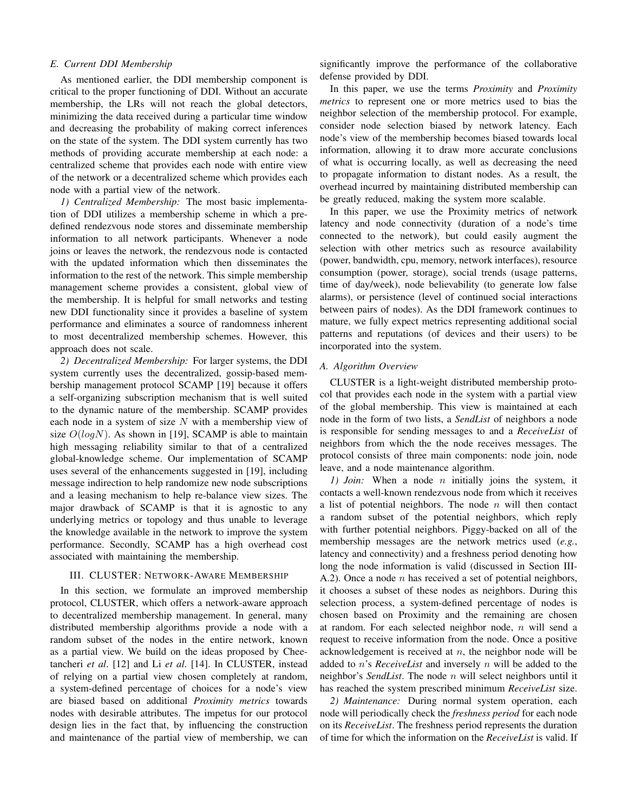#### *E. Current DDI Membership*

As mentioned earlier, the DDI membership component is critical to the proper functioning of DDI. Without an accurate membership, the LRs will not reach the global detectors, minimizing the data received during a particular time window and decreasing the probability of making correct inferences on the state of the system. The DDI system currently has two methods of providing accurate membership at each node: a centralized scheme that provides each node with entire view of the network or a decentralized scheme which provides each node with a partial view of the network.

*1) Centralized Membership:* The most basic implementation of DDI utilizes a membership scheme in which a predefined rendezvous node stores and disseminate membership information to all network participants. Whenever a node joins or leaves the network, the rendezvous node is contacted with the updated information which then disseminates the information to the rest of the network. This simple membership management scheme provides a consistent, global view of the membership. It is helpful for small networks and testing new DDI functionality since it provides a baseline of system performance and eliminates a source of randomness inherent to most decentralized membership schemes. However, this approach does not scale.

*2) Decentralized Membership:* For larger systems, the DDI system currently uses the decentralized, gossip-based membership management protocol SCAMP [19] because it offers a self-organizing subscription mechanism that is well suited to the dynamic nature of the membership. SCAMP provides each node in a system of size  $N$  with a membership view of size  $O(logN)$ . As shown in [19], SCAMP is able to maintain high messaging reliability similar to that of a centralized global-knowledge scheme. Our implementation of SCAMP uses several of the enhancements suggested in [19], including message indirection to help randomize new node subscriptions and a leasing mechanism to help re-balance view sizes. The major drawback of SCAMP is that it is agnostic to any underlying metrics or topology and thus unable to leverage the knowledge available in the network to improve the system performance. Secondly, SCAMP has a high overhead cost associated with maintaining the membership.

#### III. CLUSTER: NETWORK-AWARE MEMBERSHIP

In this section, we formulate an improved membership protocol, CLUSTER, which offers a network-aware approach to decentralized membership management. In general, many distributed membership algorithms provide a node with a random subset of the nodes in the entire network, known as a partial view. We build on the ideas proposed by Cheetancheri *et al*. [12] and Li *et al*. [14]. In CLUSTER, instead of relying on a partial view chosen completely at random, a system-defined percentage of choices for a node's view are biased based on additional *Proximity metrics* towards nodes with desirable attributes. The impetus for our protocol design lies in the fact that, by influencing the construction and maintenance of the partial view of membership, we can

significantly improve the performance of the collaborative defense provided by DDI.

In this paper, we use the terms *Proximity* and *Proximity metrics* to represent one or more metrics used to bias the neighbor selection of the membership protocol. For example, consider node selection biased by network latency. Each node's view of the membership becomes biased towards local information, allowing it to draw more accurate conclusions of what is occurring locally, as well as decreasing the need to propagate information to distant nodes. As a result, the overhead incurred by maintaining distributed membership can be greatly reduced, making the system more scalable.

In this paper, we use the Proximity metrics of network latency and node connectivity (duration of a node's time connected to the network), but could easily augment the selection with other metrics such as resource availability (power, bandwidth, cpu, memory, network interfaces), resource consumption (power, storage), social trends (usage patterns, time of day/week), node believability (to generate low false alarms), or persistence (level of continued social interactions between pairs of nodes). As the DDI framework continues to mature, we fully expect metrics representing additional social patterns and reputations (of devices and their users) to be incorporated into the system.

#### *A. Algorithm Overview*

CLUSTER is a light-weight distributed membership protocol that provides each node in the system with a partial view of the global membership. This view is maintained at each node in the form of two lists, a *SendList* of neighbors a node is responsible for sending messages to and a *ReceiveList* of neighbors from which the the node receives messages. The protocol consists of three main components: node join, node leave, and a node maintenance algorithm.

*1) Join:* When a node n initially joins the system, it contacts a well-known rendezvous node from which it receives a list of potential neighbors. The node  $n$  will then contact a random subset of the potential neighbors, which reply with further potential neighbors. Piggy-backed on all of the membership messages are the network metrics used (*e.g.*, latency and connectivity) and a freshness period denoting how long the node information is valid (discussed in Section III-A.2). Once a node  $n$  has received a set of potential neighbors, it chooses a subset of these nodes as neighbors. During this selection process, a system-defined percentage of nodes is chosen based on Proximity and the remaining are chosen at random. For each selected neighbor node, n will send a request to receive information from the node. Once a positive acknowledgement is received at  $n$ , the neighbor node will be added to n's *ReceiveList* and inversely n will be added to the neighbor's *SendList*. The node n will select neighbors until it has reached the system prescribed minimum *ReceiveList* size.

*2) Maintenance:* During normal system operation, each node will periodically check the *freshness period* for each node on its *ReceiveList*. The freshness period represents the duration of time for which the information on the *ReceiveList* is valid. If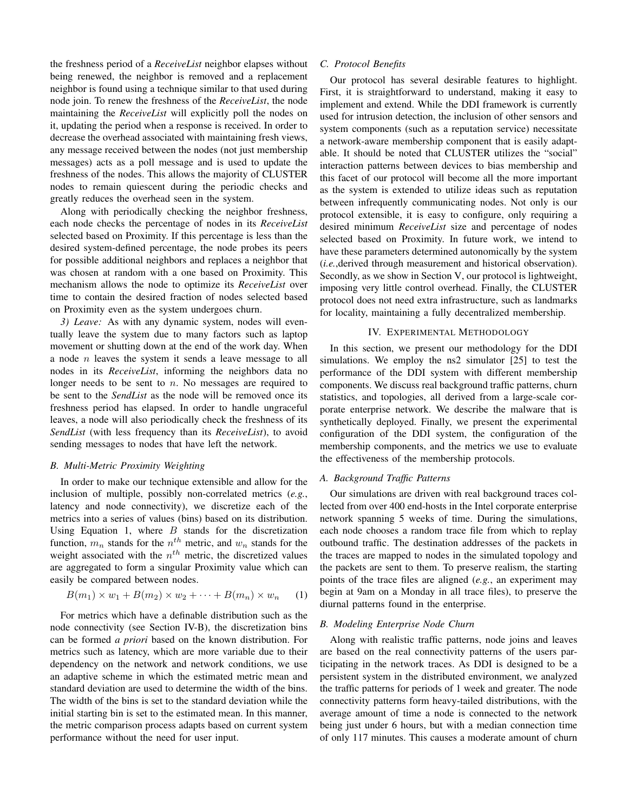the freshness period of a *ReceiveList* neighbor elapses without being renewed, the neighbor is removed and a replacement neighbor is found using a technique similar to that used during node join. To renew the freshness of the *ReceiveList*, the node maintaining the *ReceiveList* will explicitly poll the nodes on it, updating the period when a response is received. In order to decrease the overhead associated with maintaining fresh views, any message received between the nodes (not just membership messages) acts as a poll message and is used to update the freshness of the nodes. This allows the majority of CLUSTER nodes to remain quiescent during the periodic checks and greatly reduces the overhead seen in the system.

Along with periodically checking the neighbor freshness, each node checks the percentage of nodes in its *ReceiveList* selected based on Proximity. If this percentage is less than the desired system-defined percentage, the node probes its peers for possible additional neighbors and replaces a neighbor that was chosen at random with a one based on Proximity. This mechanism allows the node to optimize its *ReceiveList* over time to contain the desired fraction of nodes selected based on Proximity even as the system undergoes churn.

*3) Leave:* As with any dynamic system, nodes will eventually leave the system due to many factors such as laptop movement or shutting down at the end of the work day. When a node n leaves the system it sends a leave message to all nodes in its *ReceiveList*, informing the neighbors data no longer needs to be sent to  $n$ . No messages are required to be sent to the *SendList* as the node will be removed once its freshness period has elapsed. In order to handle ungraceful leaves, a node will also periodically check the freshness of its *SendList* (with less frequency than its *ReceiveList*), to avoid sending messages to nodes that have left the network.

#### *B. Multi-Metric Proximity Weighting*

In order to make our technique extensible and allow for the inclusion of multiple, possibly non-correlated metrics (*e.g.*, latency and node connectivity), we discretize each of the metrics into a series of values (bins) based on its distribution. Using Equation 1, where  $B$  stands for the discretization function,  $m_n$  stands for the  $n^{th}$  metric, and  $w_n$  stands for the weight associated with the  $n^{th}$  metric, the discretized values are aggregated to form a singular Proximity value which can easily be compared between nodes.

$$
B(m_1) \times w_1 + B(m_2) \times w_2 + \dots + B(m_n) \times w_n \qquad (1)
$$

For metrics which have a definable distribution such as the node connectivity (see Section IV-B), the discretization bins can be formed *a priori* based on the known distribution. For metrics such as latency, which are more variable due to their dependency on the network and network conditions, we use an adaptive scheme in which the estimated metric mean and standard deviation are used to determine the width of the bins. The width of the bins is set to the standard deviation while the initial starting bin is set to the estimated mean. In this manner, the metric comparison process adapts based on current system performance without the need for user input.

#### *C. Protocol Benefits*

Our protocol has several desirable features to highlight. First, it is straightforward to understand, making it easy to implement and extend. While the DDI framework is currently used for intrusion detection, the inclusion of other sensors and system components (such as a reputation service) necessitate a network-aware membership component that is easily adaptable. It should be noted that CLUSTER utilizes the "social" interaction patterns between devices to bias membership and this facet of our protocol will become all the more important as the system is extended to utilize ideas such as reputation between infrequently communicating nodes. Not only is our protocol extensible, it is easy to configure, only requiring a desired minimum *ReceiveList* size and percentage of nodes selected based on Proximity. In future work, we intend to have these parameters determined autonomically by the system (*i.e.*,derived through measurement and historical observation). Secondly, as we show in Section V, our protocol is lightweight, imposing very little control overhead. Finally, the CLUSTER protocol does not need extra infrastructure, such as landmarks for locality, maintaining a fully decentralized membership.

#### IV. EXPERIMENTAL METHODOLOGY

In this section, we present our methodology for the DDI simulations. We employ the ns2 simulator [25] to test the performance of the DDI system with different membership components. We discuss real background traffic patterns, churn statistics, and topologies, all derived from a large-scale corporate enterprise network. We describe the malware that is synthetically deployed. Finally, we present the experimental configuration of the DDI system, the configuration of the membership components, and the metrics we use to evaluate the effectiveness of the membership protocols.

#### *A. Background Traffic Patterns*

Our simulations are driven with real background traces collected from over 400 end-hosts in the Intel corporate enterprise network spanning 5 weeks of time. During the simulations, each node chooses a random trace file from which to replay outbound traffic. The destination addresses of the packets in the traces are mapped to nodes in the simulated topology and the packets are sent to them. To preserve realism, the starting points of the trace files are aligned (*e.g.*, an experiment may begin at 9am on a Monday in all trace files), to preserve the diurnal patterns found in the enterprise.

#### *B. Modeling Enterprise Node Churn*

Along with realistic traffic patterns, node joins and leaves are based on the real connectivity patterns of the users participating in the network traces. As DDI is designed to be a persistent system in the distributed environment, we analyzed the traffic patterns for periods of 1 week and greater. The node connectivity patterns form heavy-tailed distributions, with the average amount of time a node is connected to the network being just under 6 hours, but with a median connection time of only 117 minutes. This causes a moderate amount of churn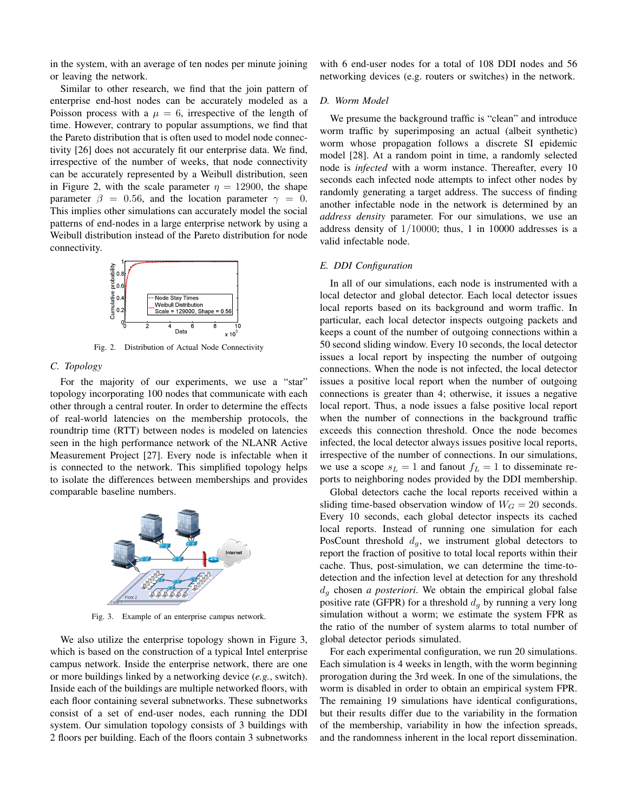in the system, with an average of ten nodes per minute joining or leaving the network.

Similar to other research, we find that the join pattern of enterprise end-host nodes can be accurately modeled as a Poisson process with a  $\mu = 6$ , irrespective of the length of time. However, contrary to popular assumptions, we find that the Pareto distribution that is often used to model node connectivity [26] does not accurately fit our enterprise data. We find, irrespective of the number of weeks, that node connectivity can be accurately represented by a Weibull distribution, seen in Figure 2, with the scale parameter  $\eta = 12900$ , the shape parameter  $\beta = 0.56$ , and the location parameter  $\gamma = 0$ . This implies other simulations can accurately model the social patterns of end-nodes in a large enterprise network by using a Weibull distribution instead of the Pareto distribution for node connectivity.



Fig. 2. Distribution of Actual Node Connectivity

#### *C. Topology*

For the majority of our experiments, we use a "star" topology incorporating 100 nodes that communicate with each other through a central router. In order to determine the effects of real-world latencies on the membership protocols, the roundtrip time (RTT) between nodes is modeled on latencies seen in the high performance network of the NLANR Active Measurement Project [27]. Every node is infectable when it is connected to the network. This simplified topology helps to isolate the differences between memberships and provides comparable baseline numbers.



Fig. 3. Example of an enterprise campus network.

We also utilize the enterprise topology shown in Figure 3, which is based on the construction of a typical Intel enterprise campus network. Inside the enterprise network, there are one or more buildings linked by a networking device (*e.g.*, switch). Inside each of the buildings are multiple networked floors, with each floor containing several subnetworks. These subnetworks consist of a set of end-user nodes, each running the DDI system. Our simulation topology consists of 3 buildings with 2 floors per building. Each of the floors contain 3 subnetworks with 6 end-user nodes for a total of 108 DDI nodes and 56 networking devices (e.g. routers or switches) in the network.

#### *D. Worm Model*

We presume the background traffic is "clean" and introduce worm traffic by superimposing an actual (albeit synthetic) worm whose propagation follows a discrete SI epidemic model [28]. At a random point in time, a randomly selected node is *infected* with a worm instance. Thereafter, every 10 seconds each infected node attempts to infect other nodes by randomly generating a target address. The success of finding another infectable node in the network is determined by an *address density* parameter. For our simulations, we use an address density of  $1/10000$ ; thus, 1 in 10000 addresses is a valid infectable node.

#### *E. DDI Configuration*

In all of our simulations, each node is instrumented with a local detector and global detector. Each local detector issues local reports based on its background and worm traffic. In particular, each local detector inspects outgoing packets and keeps a count of the number of outgoing connections within a 50 second sliding window. Every 10 seconds, the local detector issues a local report by inspecting the number of outgoing connections. When the node is not infected, the local detector issues a positive local report when the number of outgoing connections is greater than 4; otherwise, it issues a negative local report. Thus, a node issues a false positive local report when the number of connections in the background traffic exceeds this connection threshold. Once the node becomes infected, the local detector always issues positive local reports, irrespective of the number of connections. In our simulations, we use a scope  $s_L = 1$  and fanout  $f_L = 1$  to disseminate reports to neighboring nodes provided by the DDI membership.

Global detectors cache the local reports received within a sliding time-based observation window of  $W_G = 20$  seconds. Every 10 seconds, each global detector inspects its cached local reports. Instead of running one simulation for each PosCount threshold  $d_g$ , we instrument global detectors to report the fraction of positive to total local reports within their cache. Thus, post-simulation, we can determine the time-todetection and the infection level at detection for any threshold d<sup>g</sup> chosen *a posteriori*. We obtain the empirical global false positive rate (GFPR) for a threshold  $d_g$  by running a very long simulation without a worm; we estimate the system FPR as the ratio of the number of system alarms to total number of global detector periods simulated.

For each experimental configuration, we run 20 simulations. Each simulation is 4 weeks in length, with the worm beginning prorogation during the 3rd week. In one of the simulations, the worm is disabled in order to obtain an empirical system FPR. The remaining 19 simulations have identical configurations, but their results differ due to the variability in the formation of the membership, variability in how the infection spreads, and the randomness inherent in the local report dissemination.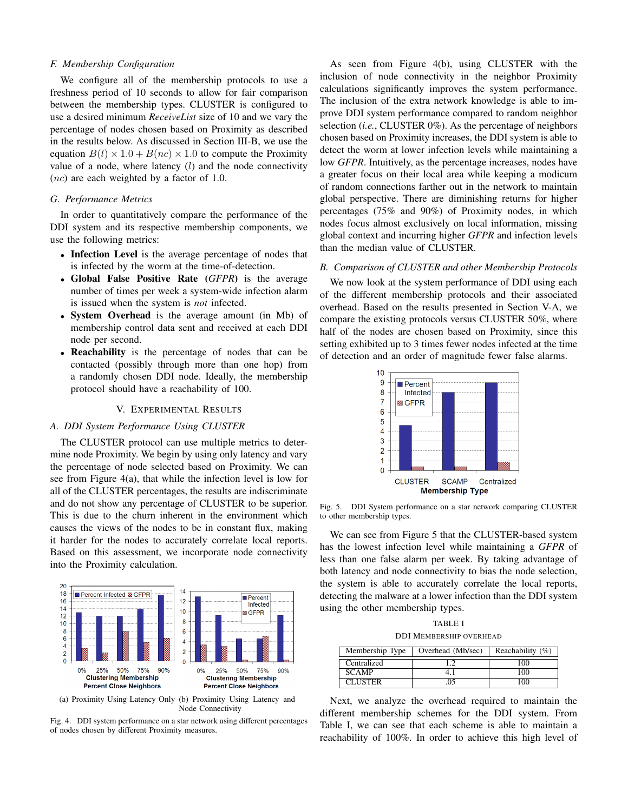#### *F. Membership Configuration*

We configure all of the membership protocols to use a freshness period of 10 seconds to allow for fair comparison between the membership types. CLUSTER is configured to use a desired minimum *ReceiveList* size of 10 and we vary the percentage of nodes chosen based on Proximity as described in the results below. As discussed in Section III-B, we use the equation  $B(l) \times 1.0 + B(nc) \times 1.0$  to compute the Proximity value of a node, where latency  $(l)$  and the node connectivity (nc) are each weighted by a factor of 1.0.

#### *G. Performance Metrics*

In order to quantitatively compare the performance of the DDI system and its respective membership components, we use the following metrics:

- Infection Level is the average percentage of nodes that is infected by the worm at the time-of-detection.
- Global False Positive Rate (*GFPR*) is the average number of times per week a system-wide infection alarm is issued when the system is *not* infected.
- System Overhead is the average amount (in Mb) of membership control data sent and received at each DDI node per second.
- Reachability is the percentage of nodes that can be contacted (possibly through more than one hop) from a randomly chosen DDI node. Ideally, the membership protocol should have a reachability of 100.

#### V. EXPERIMENTAL RESULTS

#### *A. DDI System Performance Using CLUSTER*

The CLUSTER protocol can use multiple metrics to determine node Proximity. We begin by using only latency and vary the percentage of node selected based on Proximity. We can see from Figure 4(a), that while the infection level is low for all of the CLUSTER percentages, the results are indiscriminate and do not show any percentage of CLUSTER to be superior. This is due to the churn inherent in the environment which causes the views of the nodes to be in constant flux, making it harder for the nodes to accurately correlate local reports. Based on this assessment, we incorporate node connectivity into the Proximity calculation.



(a) Proximity Using Latency Only (b) Proximity Using Latency and Node Connectivity

Fig. 4. DDI system performance on a star network using different percentages of nodes chosen by different Proximity measures.

As seen from Figure 4(b), using CLUSTER with the inclusion of node connectivity in the neighbor Proximity calculations significantly improves the system performance. The inclusion of the extra network knowledge is able to improve DDI system performance compared to random neighbor selection (*i.e.*, CLUSTER 0%). As the percentage of neighbors chosen based on Proximity increases, the DDI system is able to detect the worm at lower infection levels while maintaining a low *GFPR*. Intuitively, as the percentage increases, nodes have a greater focus on their local area while keeping a modicum of random connections farther out in the network to maintain global perspective. There are diminishing returns for higher percentages (75% and 90%) of Proximity nodes, in which nodes focus almost exclusively on local information, missing global context and incurring higher *GFPR* and infection levels than the median value of CLUSTER.

#### *B. Comparison of CLUSTER and other Membership Protocols*

We now look at the system performance of DDI using each of the different membership protocols and their associated overhead. Based on the results presented in Section V-A, we compare the existing protocols versus CLUSTER 50%, where half of the nodes are chosen based on Proximity, since this setting exhibited up to 3 times fewer nodes infected at the time of detection and an order of magnitude fewer false alarms.



Fig. 5. DDI System performance on a star network comparing CLUSTER to other membership types.

We can see from Figure 5 that the CLUSTER-based system has the lowest infection level while maintaining a *GFPR* of less than one false alarm per week. By taking advantage of both latency and node connectivity to bias the node selection, the system is able to accurately correlate the local reports, detecting the malware at a lower infection than the DDI system using the other membership types.

| TABLE I                        |
|--------------------------------|
| <b>DDI MEMBERSHIP OVERHEAD</b> |

| Membership Type | Overhead (Mb/sec) | Reachability $(\%)$ |
|-----------------|-------------------|---------------------|
| Centralized     |                   | 100                 |
| <b>SCAMP</b>    |                   | 100                 |
| <b>CLUSTER</b>  | רו ו              | 100                 |

Next, we analyze the overhead required to maintain the different membership schemes for the DDI system. From Table I, we can see that each scheme is able to maintain a reachability of 100%. In order to achieve this high level of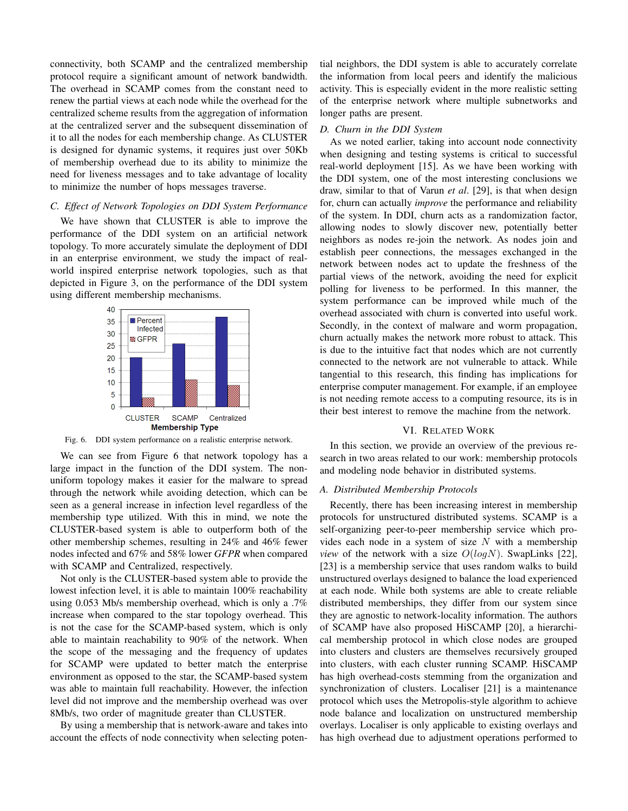connectivity, both SCAMP and the centralized membership protocol require a significant amount of network bandwidth. The overhead in SCAMP comes from the constant need to renew the partial views at each node while the overhead for the centralized scheme results from the aggregation of information at the centralized server and the subsequent dissemination of it to all the nodes for each membership change. As CLUSTER is designed for dynamic systems, it requires just over 50Kb of membership overhead due to its ability to minimize the need for liveness messages and to take advantage of locality to minimize the number of hops messages traverse.

#### *C. Effect of Network Topologies on DDI System Performance*

We have shown that CLUSTER is able to improve the performance of the DDI system on an artificial network topology. To more accurately simulate the deployment of DDI in an enterprise environment, we study the impact of realworld inspired enterprise network topologies, such as that depicted in Figure 3, on the performance of the DDI system using different membership mechanisms.



Fig. 6. DDI system performance on a realistic enterprise network.

We can see from Figure 6 that network topology has a large impact in the function of the DDI system. The nonuniform topology makes it easier for the malware to spread through the network while avoiding detection, which can be seen as a general increase in infection level regardless of the membership type utilized. With this in mind, we note the CLUSTER-based system is able to outperform both of the other membership schemes, resulting in 24% and 46% fewer nodes infected and 67% and 58% lower *GFPR* when compared with SCAMP and Centralized, respectively.

Not only is the CLUSTER-based system able to provide the lowest infection level, it is able to maintain 100% reachability using 0.053 Mb/s membership overhead, which is only a .7% increase when compared to the star topology overhead. This is not the case for the SCAMP-based system, which is only able to maintain reachability to 90% of the network. When the scope of the messaging and the frequency of updates for SCAMP were updated to better match the enterprise environment as opposed to the star, the SCAMP-based system was able to maintain full reachability. However, the infection level did not improve and the membership overhead was over 8Mb/s, two order of magnitude greater than CLUSTER.

By using a membership that is network-aware and takes into account the effects of node connectivity when selecting potential neighbors, the DDI system is able to accurately correlate the information from local peers and identify the malicious activity. This is especially evident in the more realistic setting of the enterprise network where multiple subnetworks and longer paths are present.

#### *D. Churn in the DDI System*

As we noted earlier, taking into account node connectivity when designing and testing systems is critical to successful real-world deployment [15]. As we have been working with the DDI system, one of the most interesting conclusions we draw, similar to that of Varun *et al*. [29], is that when design for, churn can actually *improve* the performance and reliability of the system. In DDI, churn acts as a randomization factor, allowing nodes to slowly discover new, potentially better neighbors as nodes re-join the network. As nodes join and establish peer connections, the messages exchanged in the network between nodes act to update the freshness of the partial views of the network, avoiding the need for explicit polling for liveness to be performed. In this manner, the system performance can be improved while much of the overhead associated with churn is converted into useful work. Secondly, in the context of malware and worm propagation, churn actually makes the network more robust to attack. This is due to the intuitive fact that nodes which are not currently connected to the network are not vulnerable to attack. While tangential to this research, this finding has implications for enterprise computer management. For example, if an employee is not needing remote access to a computing resource, its is in their best interest to remove the machine from the network.

#### VI. RELATED WORK

In this section, we provide an overview of the previous research in two areas related to our work: membership protocols and modeling node behavior in distributed systems.

#### *A. Distributed Membership Protocols*

Recently, there has been increasing interest in membership protocols for unstructured distributed systems. SCAMP is a self-organizing peer-to-peer membership service which provides each node in a system of size  $N$  with a membership *view* of the network with a size  $O(logN)$ . SwapLinks [22], [23] is a membership service that uses random walks to build unstructured overlays designed to balance the load experienced at each node. While both systems are able to create reliable distributed memberships, they differ from our system since they are agnostic to network-locality information. The authors of SCAMP have also proposed HiSCAMP [20], a hierarchical membership protocol in which close nodes are grouped into clusters and clusters are themselves recursively grouped into clusters, with each cluster running SCAMP. HiSCAMP has high overhead-costs stemming from the organization and synchronization of clusters. Localiser [21] is a maintenance protocol which uses the Metropolis-style algorithm to achieve node balance and localization on unstructured membership overlays. Localiser is only applicable to existing overlays and has high overhead due to adjustment operations performed to